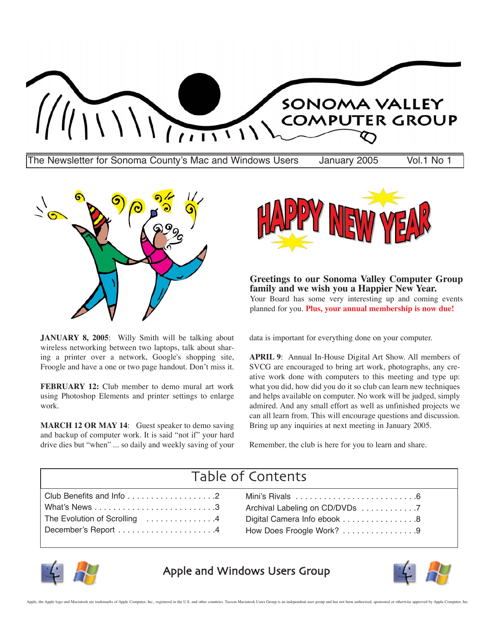

The Newsletter for Sonoma County's Mac and Windows Users January 2005 Vol.1 No 1



**JANUARY 8, 2005**: Willy Smith will be talking about wireless networking between two laptops, talk about sharing a printer over a network, Google's shopping site, Froogle and have a one or two page handout. Don't miss it.

**FEBRUARY 12:** Club member to demo mural art work using Photoshop Elements and printer settings to enlarge work.

**MARCH 12 OR MAY 14:** Guest speaker to demo saving and backup of computer work. It is said "not if" your hard drive dies but "when" ... so daily and weekly saving of your



**Greetings to our Sonoma Valley Computer Group family and we wish you a Happier New Year.**  Your Board has some very interesting up and coming events planned for you. **Plus, your annual membership is now due!**

data is important for everything done on your computer.

**APRIL 9**: Annual In-House Digital Art Show. All members of SVCG are encouraged to bring art work, photographs, any creative work done with computers to this meeting and type up: what you did, how did you do it so club can learn new techniques and helps available on computer. No work will be judged, simply admired. And any small effort as well as unfinished projects we can all learn from. This will encourage questions and discussion. Bring up any inquiries at next meeting in January 2005.

Remember, the club is here for you to learn and share.

# Table of Contents

Club Benefits and Info . . . . . . . . . . . . . . . . . . 2 [What's News . . . . . . . . . . . . . . . . . . . . . . . . . .3](#page-2-0) The Evolution of Scrolling ................4 [December's Report . . . . . . . . . . . . . . . . . . . . .4](#page-3-0)





Apple and Windows Users Group

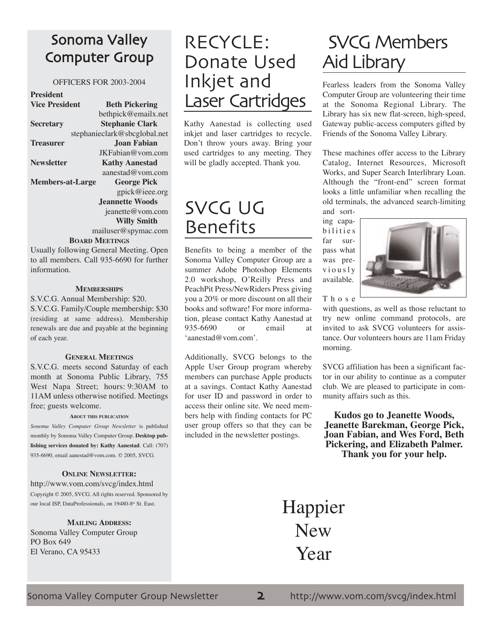### <span id="page-1-0"></span>Sonoma Valley Computer Group

#### OFFICERS FOR 2003-2004

| <b>President</b>             |                        |
|------------------------------|------------------------|
| <b>Vice President</b>        | <b>Beth Pickering</b>  |
|                              | bethpick@emailx.net    |
| <b>Secretary</b>             | <b>Stephanie Clark</b> |
| stephanieclark@sbcglobal.net |                        |
| 'I`reasurer                  | Joan Fabian            |
|                              | IKFabian@vom.com       |
| <b>Newsletter</b>            | <b>Kathy Aanestad</b>  |
|                              | aanestad@vom.com       |
| <b>Members-at-Large</b>      | <b>George Pick</b>     |
|                              | gpick@ieee.org         |
| <b>Jeannette Woods</b>       |                        |
| jeanette@vom.com             |                        |
| <b>Willy Smith</b>           |                        |
| mailuser@spymac.com          |                        |
| <b>BOARD MEETINGS</b>        |                        |

Usually following General Meeting. Open to all members. Call 935-6690 for further information.

#### **MEMBERSHIPS**

S.V.C.G. Annual Membership: \$20. S.V.C.G. Family/Couple membership: \$30 (residing at same address). Membership renewals are due and payable at the beginning of each year.

#### **GENERAL MEETINGS**

S.V.C.G. meets second Saturday of each month at Sonoma Public Library, 755 West Napa Street; hours: 9:30AM to 11AM unless otherwise notified. Meetings free; guests welcome.

#### **ABOUT THIS PUBLICATION**

*Sonoma Valley Computer Group Newsletter* is published monthly by Sonoma Valley Computer Group. **Desktop publishing services donated by: Kathy Aanestad**. Call: (707) 935-6690, email aanestad@vom.com. © 2005, SVCG.

#### **ONLINE NEWSLETTER:**

http://www.vom.com/svcg/index.html Copyright © 2005, SVCG. All rights reserved. Sponsored by our local ISP, DataProfessionals, on 19480-8<sup>th</sup> St. East.

#### **MAILING ADDRESS:**

Sonoma Valley Computer Group PO Box 649 El Verano, CA 95433

### RECYCLE: Donate Used Inkjet and Laser Cartridges

Kathy Aanestad is collecting used inkjet and laser cartridges to recycle. Don't throw yours away. Bring your used cartridges to any meeting. They will be gladly accepted. Thank you.

### SVCG UG **Benefits**

Benefits to being a member of the Sonoma Valley Computer Group are a summer Adobe Photoshop Elements 2.0 workshop, O'Reilly Press and PeachPit Press/NewRiders Press giving you a 20% or more discount on all their books and software! For more information, please contact Kathy Aanestad at 935-6690 or email at 'aanestad@vom.com'.

Additionally, SVCG belongs to the Apple User Group program whereby members can purchase Apple products at a savings. Contact Kathy Aanestad for user ID and password in order to access their online site. We need members help with finding contacts for PC user group offers so that they can be included in the newsletter postings.

### SVCG Members Aid Library

Fearless leaders from the Sonoma Valley Computer Group are volunteering their time at the Sonoma Regional Library. The Library has six new flat-screen, high-speed, Gateway public-access computers gifted by Friends of the Sonoma Valley Library.

These machines offer access to the Library Catalog, Internet Resources, Microsoft Works, and Super Search Interlibrary Loan. Although the "front-end" screen format looks a little unfamiliar when recalling the old terminals, the advanced search-limiting and sort-

ing capabilities far surpass what was previously available.



Those

with questions, as well as those reluctant to try new online command protocols, are invited to ask SVCG volunteers for assistance. Our volunteers hours are 11am Friday morning.

SVCG affiliation has been a significant factor in our ability to continue as a computer club. We are pleased to participate in community affairs such as this.

**Kudos go to Jeanette Woods, Jeanette Barekman, George Pick, Joan Fabian, and Wes Ford, Beth Pickering, and Elizabeth Palmer. Thank you for your help.**

### Happier **New** Year Happier<br>New<br>Noor

#### Sonoma Valley Computer Group Newsletter 2 http://www.vom.com/svcg/index.html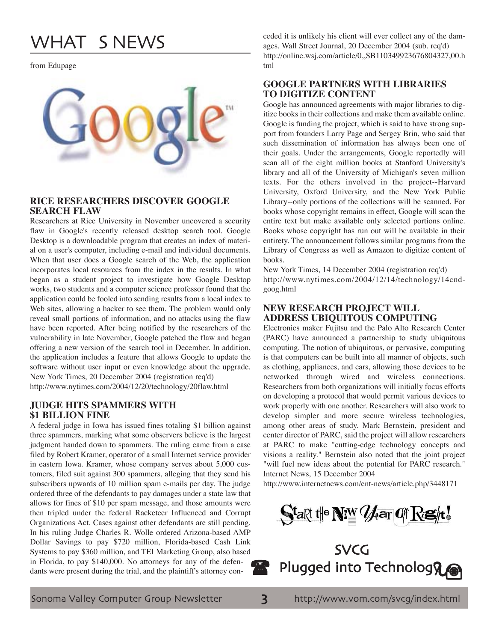### <span id="page-2-0"></span>WHAT SNEWS

from Edupage



#### **RICE RESEARCHERS DISCOVER GOOGLE SEARCH FLAW**

Researchers at Rice University in November uncovered a security flaw in Google's recently released desktop search tool. Google Desktop is a downloadable program that creates an index of material on a user's computer, including e-mail and individual documents. When that user does a Google search of the Web, the application incorporates local resources from the index in the results. In what began as a student project to investigate how Google Desktop works, two students and a computer science professor found that the application could be fooled into sending results from a local index to Web sites, allowing a hacker to see them. The problem would only reveal small portions of information, and no attacks using the flaw have been reported. After being notified by the researchers of the vulnerability in late November, Google patched the flaw and began offering a new version of the search tool in December. In addition, the application includes a feature that allows Google to update the software without user input or even knowledge about the upgrade. New York Times, 20 December 2004 (registration req'd) http://www.nytimes.com/2004/12/20/technology/20flaw.html

#### **JUDGE HITS SPAMMERS WITH \$1 BILLION FINE**

A federal judge in Iowa has issued fines totaling \$1 billion against three spammers, marking what some observers believe is the largest judgment handed down to spammers. The ruling came from a case filed by Robert Kramer, operator of a small Internet service provider in eastern Iowa. Kramer, whose company serves about 5,000 customers, filed suit against 300 spammers, alleging that they send his subscribers upwards of 10 million spam e-mails per day. The judge ordered three of the defendants to pay damages under a state law that allows for fines of \$10 per spam message, and those amounts were then tripled under the federal Racketeer Influenced and Corrupt Organizations Act. Cases against other defendants are still pending. In his ruling Judge Charles R. Wolle ordered Arizona-based AMP Dollar Savings to pay \$720 million, Florida-based Cash Link Systems to pay \$360 million, and TEI Marketing Group, also based in Florida, to pay \$140,000. No attorneys for any of the defendants were present during the trial, and the plaintiff's attorney conceded it is unlikely his client will ever collect any of the damages. Wall Street Journal, 20 December 2004 (sub. req'd) http://online.wsj.com/article/0,,SB110349923676804327,00.h tml

#### **GOOGLE PARTNERS WITH LIBRARIES TO DIGITIZE CONTENT**

Google has announced agreements with major libraries to digitize books in their collections and make them available online. Google is funding the project, which is said to have strong support from founders Larry Page and Sergey Brin, who said that such dissemination of information has always been one of their goals. Under the arrangements, Google reportedly will scan all of the eight million books at Stanford University's library and all of the University of Michigan's seven million texts. For the others involved in the project--Harvard University, Oxford University, and the New York Public Library--only portions of the collections will be scanned. For books whose copyright remains in effect, Google will scan the entire text but make available only selected portions online. Books whose copyright has run out will be available in their entirety. The announcement follows similar programs from the Library of Congress as well as Amazon to digitize content of books.

New York Times, 14 December 2004 (registration req'd) http://www.nytimes.com/2004/12/14/technology/14cndgoog.html

#### **NEW RESEARCH PROJECT WILL ADDRESS UBIQUITOUS COMPUTING**

Electronics maker Fujitsu and the Palo Alto Research Center (PARC) have announced a partnership to study ubiquitous computing. The notion of ubiquitous, or pervasive, computing is that computers can be built into all manner of objects, such as clothing, appliances, and cars, allowing those devices to be networked through wired and wireless connections. Researchers from both organizations will initially focus efforts on developing a protocol that would permit various devices to work properly with one another. Researchers will also work to develop simpler and more secure wireless technologies, among other areas of study. Mark Bernstein, president and center director of PARC, said the project will allow researchers at PARC to make "cutting-edge technology concepts and visions a reality." Bernstein also noted that the joint project "will fuel new ideas about the potential for PARC research." Internet News, 15 December 2004

http://www.internetnews.com/ent-news/article.php/3448171



### SVCG Plugged into Technology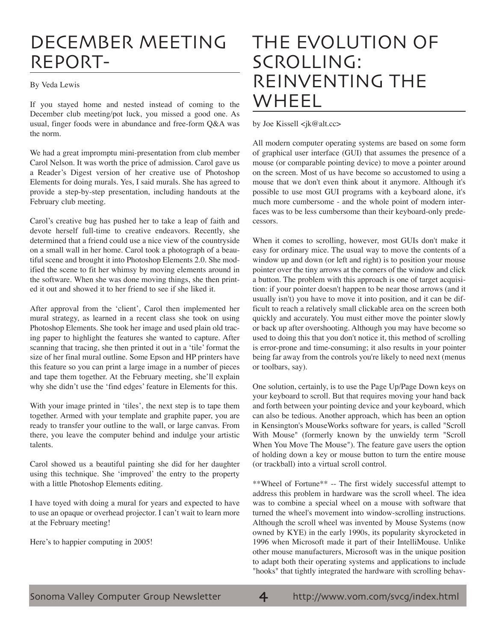### <span id="page-3-0"></span>DECEMBER MEETING REPORT-

By Veda Lewis

If you stayed home and nested instead of coming to the December club meeting/pot luck, you missed a good one. As usual, finger foods were in abundance and free-form Q&A was the norm.

We had a great impromptu mini-presentation from club member Carol Nelson. It was worth the price of admission. Carol gave us a Reader's Digest version of her creative use of Photoshop Elements for doing murals. Yes, I said murals. She has agreed to provide a step-by-step presentation, including handouts at the February club meeting.

Carol's creative bug has pushed her to take a leap of faith and devote herself full-time to creative endeavors. Recently, she determined that a friend could use a nice view of the countryside on a small wall in her home. Carol took a photograph of a beautiful scene and brought it into Photoshop Elements 2.0. She modified the scene to fit her whimsy by moving elements around in the software. When she was done moving things, she then printed it out and showed it to her friend to see if she liked it.

After approval from the 'client', Carol then implemented her mural strategy, as learned in a recent class she took on using Photoshop Elements. She took her image and used plain old tracing paper to highlight the features she wanted to capture. After scanning that tracing, she then printed it out in a 'tile' format the size of her final mural outline. Some Epson and HP printers have this feature so you can print a large image in a number of pieces and tape them together. At the February meeting, she'll explain why she didn't use the 'find edges' feature in Elements for this.

With your image printed in 'tiles', the next step is to tape them together. Armed with your template and graphite paper, you are ready to transfer your outline to the wall, or large canvas. From there, you leave the computer behind and indulge your artistic talents.

Carol showed us a beautiful painting she did for her daughter using this technique. She 'improved' the entry to the property with a little Photoshop Elements editing.

I have toyed with doing a mural for years and expected to have to use an opaque or overhead projector. I can't wait to learn more at the February meeting!

Here's to happier computing in 2005!

### THE EVOLUTION OF SCROLLING: REINVENTING THE WHEEL

by Joe Kissell <jk@alt.cc>

All modern computer operating systems are based on some form of graphical user interface (GUI) that assumes the presence of a mouse (or comparable pointing device) to move a pointer around on the screen. Most of us have become so accustomed to using a mouse that we don't even think about it anymore. Although it's possible to use most GUI programs with a keyboard alone, it's much more cumbersome - and the whole point of modern interfaces was to be less cumbersome than their keyboard-only predecessors.

When it comes to scrolling, however, most GUIs don't make it easy for ordinary mice. The usual way to move the contents of a window up and down (or left and right) is to position your mouse pointer over the tiny arrows at the corners of the window and click a button. The problem with this approach is one of target acquisition: if your pointer doesn't happen to be near those arrows (and it usually isn't) you have to move it into position, and it can be difficult to reach a relatively small clickable area on the screen both quickly and accurately. You must either move the pointer slowly or back up after overshooting. Although you may have become so used to doing this that you don't notice it, this method of scrolling is error-prone and time-consuming; it also results in your pointer being far away from the controls you're likely to need next (menus or toolbars, say).

One solution, certainly, is to use the Page Up/Page Down keys on your keyboard to scroll. But that requires moving your hand back and forth between your pointing device and your keyboard, which can also be tedious. Another approach, which has been an option in Kensington's MouseWorks software for years, is called "Scroll With Mouse" (formerly known by the unwieldy term "Scroll When You Move The Mouse"). The feature gave users the option of holding down a key or mouse button to turn the entire mouse (or trackball) into a virtual scroll control.

\*\*Wheel of Fortune\*\* -- The first widely successful attempt to address this problem in hardware was the scroll wheel. The idea was to combine a special wheel on a mouse with software that turned the wheel's movement into window-scrolling instructions. Although the scroll wheel was invented by Mouse Systems (now owned by KYE) in the early 1990s, its popularity skyrocketed in 1996 when Microsoft made it part of their IntelliMouse. Unlike other mouse manufacturers, Microsoft was in the unique position to adapt both their operating systems and applications to include "hooks" that tightly integrated the hardware with scrolling behav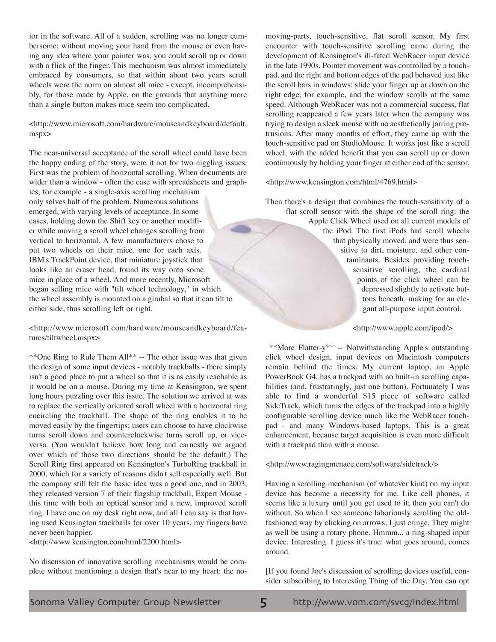ior in the software. All of a sudden, scrolling was no longer cumbersome; without moving your hand from the mouse or even having any idea where your pointer was, you could scroll up or down with a flick of the finger. This mechanism was almost immediately embraced by consumers, so that within about two years scroll wheels were the norm on almost all mice - except, incomprehensibly, for those made by Apple, on the grounds that anything more than a single button makes mice seem too complicated.

<http://www.microsoft.com/hardware/mouseandkeyboard/default. mspx>

The near-universal acceptance of the scroll wheel could have been the happy ending of the story, were it not for two niggling issues. First was the problem of horizontal scrolling. When documents are wider than a window - often the case with spreadsheets and graph-

ics, for example - a single-axis scrolling mechanism only solves half of the problem. Numerous solutions emerged, with varying levels of acceptance. In some cases, holding down the Shift key or another modifier while moving a scroll wheel changes scrolling from vertical to horizontal. A few manufacturers chose to put two wheels on their mice, one for each axis. IBM's TrackPoint device, that miniature joystick that looks like an eraser head, found its way onto some mice in place of a wheel. And more recently, Microsoft began selling mice with "tilt wheel technology," in which the wheel assembly is mounted on a gimbal so that it can tilt to either side, thus scrolling left or right.

<http://www.microsoft.com/hardware/mouseandkeyboard/features/tiltwheel.mspx>

\*\*One Ring to Rule Them All\*\* -- The other issue was that given the design of some input devices - notably trackballs - there simply isn't a good place to put a wheel so that it is as easily reachable as it would be on a mouse. During my time at Kensington, we spent long hours puzzling over this issue. The solution we arrived at was to replace the vertically oriented scroll wheel with a horizontal ring encircling the trackball. The shape of the ring enables it to be moved easily by the fingertips; users can choose to have clockwise turns scroll down and counterclockwise turns scroll up, or viceversa. (You wouldn't believe how long and earnestly we argued over which of those two directions should be the default.) The Scroll Ring first appeared on Kensington's TurboRing trackball in 2000, which for a variety of reasons didn't sell especially well. But the company still felt the basic idea was a good one, and in 2003, they released version 7 of their flagship trackball, Expert Mouse this time with both an optical sensor and a new, improved scroll ring. I have one on my desk right now, and all I can say is that having used Kensington trackballs for over 10 years, my fingers have never been happier.

<http://www.kensington.com/html/2200.html>

No discussion of innovative scrolling mechanisms would be complete without mentioning a design that's near to my heart: the no-

moving-parts, touch-sensitive, flat scroll sensor. My first encounter with touch-sensitive scrolling came during the development of Kensington's ill-fated WebRacer input device in the late 1990s. Pointer movement was controlled by a touchpad, and the right and bottom edges of the pad behaved just like the scroll bars in windows: slide your finger up or down on the right edge, for example, and the window scrolls at the same speed. Although WebRacer was not a commercial success, flat scrolling reappeared a few years later when the company was trying to design a sleek mouse with no aesthetically jarring protrusions. After many months of effort, they came up with the touch-sensitive pad on StudioMouse. It works just like a scroll wheel, with the added benefit that you can scroll up or down continuously by holding your finger at either end of the sensor.

<http://www.kensington.com/html/4769.html>

Then there's a design that combines the touch-sensitivity of a flat scroll sensor with the shape of the scroll ring: the Apple Click Wheel used on all current models of the iPod. The first iPods had scroll wheels that physically moved, and were thus sensitive to dirt, moisture, and other contaminants. Besides providing touchsensitive scrolling, the cardinal points of the click wheel can be depressed slightly to activate buttons beneath, making for an elegant all-purpose input control.

<http://www.apple.com/ipod/>

\*\*More Flatter-y\*\* -- Notwithstanding Apple's outstanding click wheel design, input devices on Macintosh computers remain behind the times. My current laptop, an Apple PowerBook G4, has a trackpad with no built-in scrolling capabilities (and, frustratingly, just one button). Fortunately I was able to find a wonderful \$15 piece of software called SideTrack, which turns the edges of the trackpad into a highly configurable scrolling device much like the WebRacer touchpad - and many Windows-based laptops. This is a great enhancement, because target acquisition is even more difficult with a trackpad than with a mouse.

<http://www.ragingmenace.com/software/sidetrack/>

Having a scrolling mechanism (of whatever kind) on my input device has become a necessity for me. Like cell phones, it seems like a luxury until you get used to it; then you can't do without. So when I see someone laboriously scrolling the oldfashioned way by clicking on arrows, I just cringe. They might as well be using a rotary phone. Hmmm... a ring-shaped input device. Interesting. I guess it's true: what goes around, comes around.

[If you found Joe's discussion of scrolling devices useful, consider subscribing to Interesting Thing of the Day. You can opt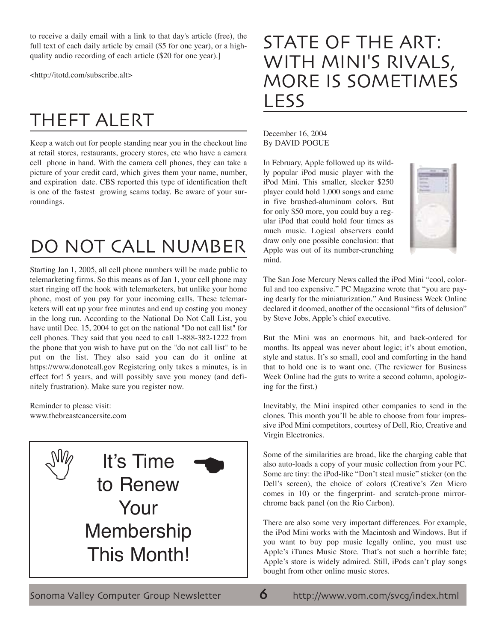<span id="page-5-0"></span>to receive a daily email with a link to that day's article (free), the full text of each daily article by email (\$5 for one year), or a highquality audio recording of each article (\$20 for one year).]

<http://itotd.com/subscribe.alt>

# THEFT ALERT

Keep a watch out for people standing near you in the checkout line at retail stores, restaurants, grocery stores, etc who have a camera cell phone in hand. With the camera cell phones, they can take a picture of your credit card, which gives them your name, number, and expiration date. CBS reported this type of identification theft is one of the fastest growing scams today. Be aware of your surroundings.

# DO NOT CALL NUMBER

Starting Jan 1, 2005, all cell phone numbers will be made public to telemarketing firms. So this means as of Jan 1, your cell phone may start ringing off the hook with telemarketers, but unlike your home phone, most of you pay for your incoming calls. These telemarketers will eat up your free minutes and end up costing you money in the long run. According to the National Do Not Call List, you have until Dec. 15, 2004 to get on the national "Do not call list" for cell phones. They said that you need to call 1-888-382-1222 from the phone that you wish to have put on the "do not call list" to be put on the list. They also said you can do it online at https://www.donotcall.gov Registering only takes a minutes, is in effect for! 5 years, and will possibly save you money (and definitely frustration). Make sure you register now.

Reminder to please visit: www.thebreastcancersite.com



### STATE OF THE ART: WITH MINI'S RIVALS, MORE IS SOMETIMES LESS

#### December 16, 2004 By DAVID POGUE

In February, Apple followed up its wildly popular iPod music player with the iPod Mini. This smaller, sleeker \$250 player could hold 1,000 songs and came in five brushed-aluminum colors. But for only \$50 more, you could buy a regular iPod that could hold four times as much music. Logical observers could draw only one possible conclusion: that Apple was out of its number-crunching mind.



The San Jose Mercury News called the iPod Mini "cool, colorful and too expensive." PC Magazine wrote that "you are paying dearly for the miniaturization." And Business Week Online declared it doomed, another of the occasional "fits of delusion" by Steve Jobs, Apple's chief executive.

But the Mini was an enormous hit, and back-ordered for months. Its appeal was never about logic; it's about emotion, style and status. It's so small, cool and comforting in the hand that to hold one is to want one. (The reviewer for Business Week Online had the guts to write a second column, apologizing for the first.)

Inevitably, the Mini inspired other companies to send in the clones. This month you'll be able to choose from four impressive iPod Mini competitors, courtesy of Dell, Rio, Creative and Virgin Electronics.

Some of the similarities are broad, like the charging cable that also auto-loads a copy of your music collection from your PC. Some are tiny: the iPod-like "Don't steal music" sticker (on the Dell's screen), the choice of colors (Creative's Zen Micro comes in 10) or the fingerprint- and scratch-prone mirrorchrome back panel (on the Rio Carbon).

There are also some very important differences. For example, the iPod Mini works with the Macintosh and Windows. But if you want to buy pop music legally online, you must use Apple's iTunes Music Store. That's not such a horrible fate; Apple's store is widely admired. Still, iPods can't play songs bought from other online music stores.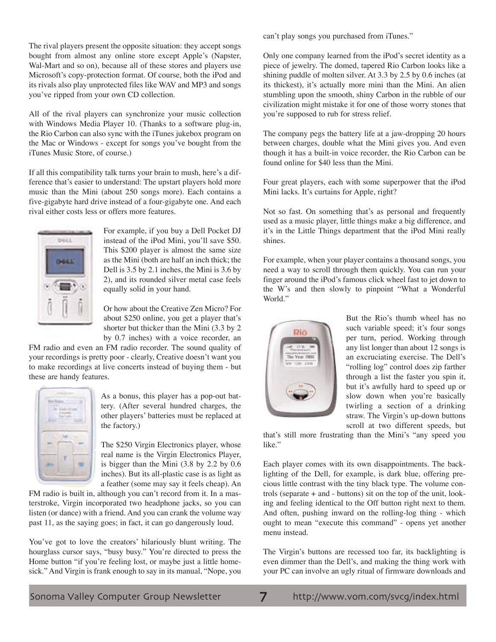The rival players present the opposite situation: they accept songs bought from almost any online store except Apple's (Napster, Wal-Mart and so on), because all of these stores and players use Microsoft's copy-protection format. Of course, both the iPod and its rivals also play unprotected files like WAV and MP3 and songs you've ripped from your own CD collection.

All of the rival players can synchronize your music collection with Windows Media Player 10. (Thanks to a software plug-in, the Rio Carbon can also sync with the iTunes jukebox program on the Mac or Windows - except for songs you've bought from the iTunes Music Store, of course.)

If all this compatibility talk turns your brain to mush, here's a difference that's easier to understand: The upstart players hold more music than the Mini (about 250 songs more). Each contains a five-gigabyte hard drive instead of a four-gigabyte one. And each rival either costs less or offers more features.



For example, if you buy a Dell Pocket DJ instead of the iPod Mini, you'll save \$50. This \$200 player is almost the same size as the Mini (both are half an inch thick; the Dell is 3.5 by 2.1 inches, the Mini is 3.6 by 2), and its rounded silver metal case feels equally solid in your hand.

Or how about the Creative Zen Micro? For about \$250 online, you get a player that's shorter but thicker than the Mini (3.3 by 2 by 0.7 inches) with a voice recorder, an

FM radio and even an FM radio recorder. The sound quality of your recordings is pretty poor - clearly, Creative doesn't want you to make recordings at live concerts instead of buying them - but these are handy features.



As a bonus, this player has a pop-out battery. (After several hundred charges, the other players' batteries must be replaced at the factory.)

The \$250 Virgin Electronics player, whose real name is the Virgin Electronics Player, is bigger than the Mini (3.8 by 2.2 by 0.6 inches). But its all-plastic case is as light as a feather (some may say it feels cheap). An

FM radio is built in, although you can't record from it. In a masterstroke, Virgin incorporated two headphone jacks, so you can listen (or dance) with a friend. And you can crank the volume way past 11, as the saying goes; in fact, it can go dangerously loud.

You've got to love the creators' hilariously blunt writing. The hourglass cursor says, "busy busy." You're directed to press the Home button "if you're feeling lost, or maybe just a little homesick." And Virgin is frank enough to say in its manual, "Nope, you can't play songs you purchased from iTunes."

Only one company learned from the iPod's secret identity as a piece of jewelry. The domed, tapered Rio Carbon looks like a shining puddle of molten silver. At 3.3 by 2.5 by 0.6 inches (at its thickest), it's actually more mini than the Mini. An alien stumbling upon the smooth, shiny Carbon in the rubble of our civilization might mistake it for one of those worry stones that you're supposed to rub for stress relief.

The company pegs the battery life at a jaw-dropping 20 hours between charges, double what the Mini gives you. And even though it has a built-in voice recorder, the Rio Carbon can be found online for \$40 less than the Mini.

Four great players, each with some superpower that the iPod Mini lacks. It's curtains for Apple, right?

Not so fast. On something that's as personal and frequently used as a music player, little things make a big difference, and it's in the Little Things department that the iPod Mini really shines.

For example, when your player contains a thousand songs, you need a way to scroll through them quickly. You can run your finger around the iPod's famous click wheel fast to jet down to the W's and then slowly to pinpoint "What a Wonderful World."



But the Rio's thumb wheel has no such variable speed; it's four songs per turn, period. Working through any list longer than about 12 songs is an excruciating exercise. The Dell's "rolling log" control does zip farther through a list the faster you spin it, but it's awfully hard to speed up or slow down when you're basically twirling a section of a drinking straw. The Virgin's up-down buttons scroll at two different speeds, but

that's still more frustrating than the Mini's "any speed you like."

Each player comes with its own disappointments. The backlighting of the Dell, for example, is dark blue, offering precious little contrast with the tiny black type. The volume controls (separate + and - buttons) sit on the top of the unit, looking and feeling identical to the Off button right next to them. And often, pushing inward on the rolling-log thing - which ought to mean "execute this command" - opens yet another menu instead.

The Virgin's buttons are recessed too far, its backlighting is even dimmer than the Dell's, and making the thing work with your PC can involve an ugly ritual of firmware downloads and

Sonoma Valley Computer Group Newsletter 7 http://www.vom.com/svcg/index.html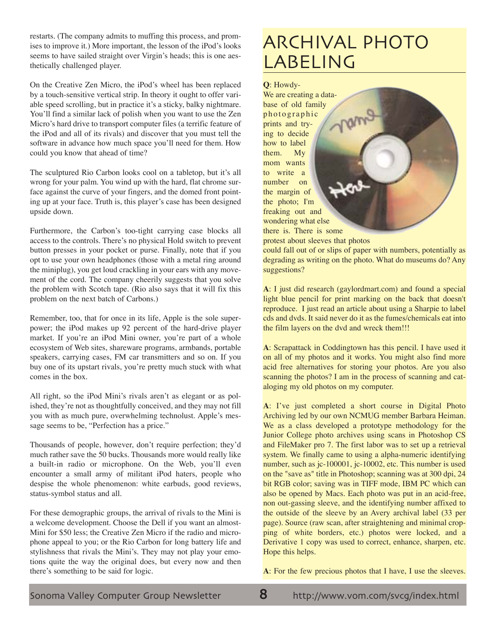<span id="page-7-0"></span>restarts. (The company admits to muffing this process, and promises to improve it.) More important, the lesson of the iPod's looks seems to have sailed straight over Virgin's heads; this is one aesthetically challenged player.

On the Creative Zen Micro, the iPod's wheel has been replaced by a touch-sensitive vertical strip. In theory it ought to offer variable speed scrolling, but in practice it's a sticky, balky nightmare. You'll find a similar lack of polish when you want to use the Zen Micro's hard drive to transport computer files (a terrific feature of the iPod and all of its rivals) and discover that you must tell the software in advance how much space you'll need for them. How could you know that ahead of time?

The sculptured Rio Carbon looks cool on a tabletop, but it's all wrong for your palm. You wind up with the hard, flat chrome surface against the curve of your fingers, and the domed front pointing up at your face. Truth is, this player's case has been designed upside down.

Furthermore, the Carbon's too-tight carrying case blocks all access to the controls. There's no physical Hold switch to prevent button presses in your pocket or purse. Finally, note that if you opt to use your own headphones (those with a metal ring around the miniplug), you get loud crackling in your ears with any movement of the cord. The company cheerily suggests that you solve the problem with Scotch tape. (Rio also says that it will fix this problem on the next batch of Carbons.)

Remember, too, that for once in its life, Apple is the sole superpower; the iPod makes up 92 percent of the hard-drive player market. If you're an iPod Mini owner, you're part of a whole ecosystem of Web sites, shareware programs, armbands, portable speakers, carrying cases, FM car transmitters and so on. If you buy one of its upstart rivals, you're pretty much stuck with what comes in the box.

All right, so the iPod Mini's rivals aren't as elegant or as polished, they're not as thoughtfully conceived, and they may not fill you with as much pure, overwhelming technolust. Apple's message seems to be, "Perfection has a price."

Thousands of people, however, don't require perfection; they'd much rather save the 50 bucks. Thousands more would really like a built-in radio or microphone. On the Web, you'll even encounter a small army of militant iPod haters, people who despise the whole phenomenon: white earbuds, good reviews, status-symbol status and all.

For these demographic groups, the arrival of rivals to the Mini is a welcome development. Choose the Dell if you want an almost-Mini for \$50 less; the Creative Zen Micro if the radio and microphone appeal to you; or the Rio Carbon for long battery life and stylishness that rivals the Mini's. They may not play your emotions quite the way the original does, but every now and then there's something to be said for logic.

### ARCHIVAL PHOTO LABELING

**Q**: Howdy-We are creating a database of old family photographic prints and trying to decide how to label them. My mom wants to write a number on the margin of the photo; I'm freaking out and wondering what else there is. There is some protest about sleeves that photos

could fall out of or slips of paper with numbers, potentially as degrading as writing on the photo. What do museums do? Any suggestions?

**A**: I just did research (gaylordmart.com) and found a special light blue pencil for print marking on the back that doesn't reproduce. I just read an article about using a Sharpie to label cds and dvds. It said never do it as the fumes/chemicals eat into the film layers on the dvd and wreck them!!!

**A**: Scrapattack in Coddingtown has this pencil. I have used it on all of my photos and it works. You might also find more acid free alternatives for storing your photos. Are you also scanning the photos? I am in the process of scanning and cataloging my old photos on my computer.

**A**: I've just completed a short course in Digital Photo Archiving led by our own NCMUG member Barbara Heiman. We as a class developed a prototype methodology for the Junior College photo archives using scans in Photoshop CS and FileMaker pro 7. The first labor was to set up a retrieval system. We finally came to using a alpha-numeric identifying number, such as jc-100001, jc-10002, etc. This number is used on the "save as" title in Photoshop; scanning was at 300 dpi, 24 bit RGB color; saving was in TIFF mode, IBM PC which can also be opened by Macs. Each photo was put in an acid-free, non out-gassing sleeve, and the identifying number affixed to the outside of the sleeve by an Avery archival label (33 per page). Source (raw scan, after straightening and minimal cropping of white borders, etc.) photos were locked, and a Derivative 1 copy was used to correct, enhance, sharpen, etc. Hope this helps.

**A**: For the few precious photos that I have, I use the sleeves.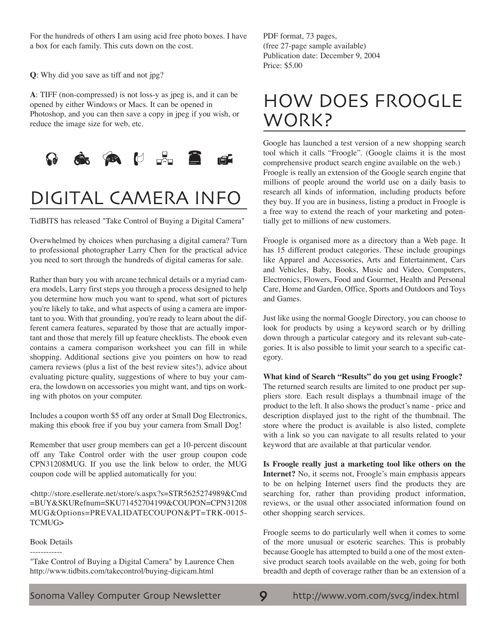<span id="page-8-0"></span>For the hundreds of others I am using acid free photo boxes. I have a box for each family. This cuts down on the cost.

**Q**: Why did you save as tiff and not jpg?

**A**: TIFF (non-compressed) is not loss-y as jpeg is, and it can be opened by either Windows or Macs. It can be opened in Photoshop, and you can then save a copy in jpeg if you wish, or reduce the image size for web, etc.



### DIGITAL CAMERA INFO

TidBITS has released "Take Control of Buying a Digital Camera"

Overwhelmed by choices when purchasing a digital camera? Turn to professional photographer Larry Chen for the practical advice you need to sort through the hundreds of digital cameras for sale.

Rather than bury you with arcane technical details or a myriad camera models, Larry first steps you through a process designed to help you determine how much you want to spend, what sort of pictures you're likely to take, and what aspects of using a camera are important to you. With that grounding, you're ready to learn about the different camera features, separated by those that are actually important and those that merely fill up feature checklists. The ebook even contains a camera comparison worksheet you can fill in while shopping. Additional sections give you pointers on how to read camera reviews (plus a list of the best review sites!), advice about evaluating picture quality, suggestions of where to buy your camera, the lowdown on accessories you might want, and tips on working with photos on your computer.

Includes a coupon worth \$5 off any order at Small Dog Electronics, making this ebook free if you buy your camera from Small Dog!

Remember that user group members can get a 10-percent discount off any Take Control order with the user group coupon code CPN31208MUG. If you use the link below to order, the MUG coupon code will be applied automatically for you:

<http://store.esellerate.net/store/s.aspx?s=STR5625274989&Cmd =BUY&SKURefnum=SKU71452704199&COUPON=CPN31208 MUG&Options=PREVALIDATECOUPON&PT=TRK-0015- TCMUG>

Book Details ------------

"Take Control of Buying a Digital Camera" by Laurence Chen http://www.tidbits.com/takecontrol/buying-digicam.html

PDF format, 73 pages, (free 27-page sample available) Publication date: December 9, 2004 Price: \$5.00

### HOW DOES FROOGLE WORK?

Google has launched a test version of a new shopping search tool which it calls "Froogle". (Google claims it is the most comprehensive product search engine available on the web.) Froogle is really an extension of the Google search engine that millions of people around the world use on a daily basis to research all kinds of information, including products before they buy. If you are in business, listing a product in Froogle is a free way to extend the reach of your marketing and potentially get to millions of new customers.

Froogle is organised more as a directory than a Web page. It has 15 different product categories. These include groupings like Apparel and Accessories, Arts and Entertainment, Cars and Vehicles, Baby, Books, Music and Video, Computers, Electronics, Flowers, Food and Gourmet, Health and Personal Care, Home and Garden, Office, Sports and Outdoors and Toys and Games.

Just like using the normal Google Directory, you can choose to look for products by using a keyword search or by drilling down through a particular category and its relevant sub-categories. It is also possible to limit your search to a specific category.

**What kind of Search "Results" do you get using Froogle?**

The returned search results are limited to one product per suppliers store. Each result displays a thumbnail image of the product to the left. It also shows the product's name - price and description displayed just to the right of the thumbnail. The store where the product is available is also listed, complete with a link so you can navigate to all results related to your keyword that are available at that particular vendor.

**Is Froogle really just a marketing tool like others on the Internet?** No, it seems not, Froogle's main emphasis appears to be on helping Internet users find the products they are searching for, rather than providing product information, reviews, or the usual other associated information found on other shopping search services.

Froogle seems to do particularly well when it comes to some of the more unusual or esoteric searches. This is probably because Google has attempted to build a one of the most extensive product search tools available on the web, going for both breadth and depth of coverage rather than be an extension of a

Sonoma Valley Computer Group Newsletter **9** http://www.vom.com/svcg/index.html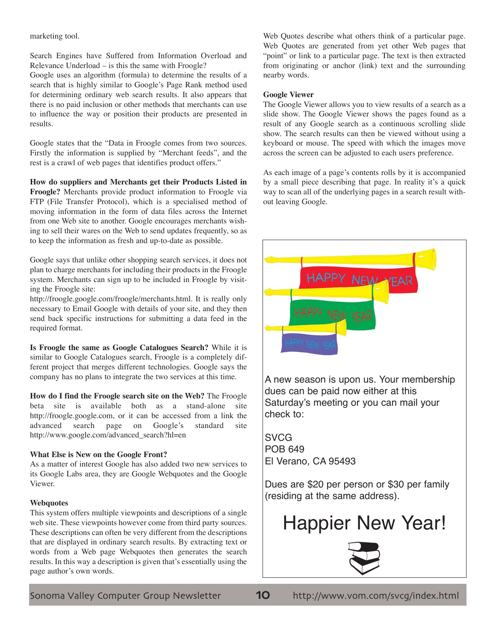marketing tool.

Search Engines have Suffered from Information Overload and Relevance Underload – is this the same with Froogle?

Google uses an algorithm (formula) to determine the results of a search that is highly similar to Google's Page Rank method used for determining ordinary web search results. It also appears that there is no paid inclusion or other methods that merchants can use to influence the way or position their products are presented in results.

Google states that the "Data in Froogle comes from two sources. Firstly the information is supplied by "Merchant feeds", and the rest is a crawl of web pages that identifies product offers."

**How do suppliers and Merchants get their Products Listed in Froogle?** Merchants provide product information to Froogle via FTP (File Transfer Protocol), which is a specialised method of moving information in the form of data files across the Internet from one Web site to another. Google encourages merchants wishing to sell their wares on the Web to send updates frequently, so as to keep the information as fresh and up-to-date as possible.

Google says that unlike other shopping search services, it does not plan to charge merchants for including their products in the Froogle system. Merchants can sign up to be included in Froogle by visiting the Froogle site:

http://froogle.google.com/froogle/merchants.html. It is really only necessary to Email Google with details of your site, and they then send back specific instructions for submitting a data feed in the required format.

**Is Froogle the same as Google Catalogues Search?** While it is similar to Google Catalogues search, Froogle is a completely different project that merges different technologies. Google says the company has no plans to integrate the two services at this time.

**How do I find the Froogle search site on the Web?** The Froogle beta site is available both as a stand-alone site http://froogle.google.com, or it can be accessed from a link the advanced search page on Google's standard site http://www.google.com/advanced\_search?hl=en

#### **What Else is New on the Google Front?**

As a matter of interest Google has also added two new services to its Google Labs area, they are Google Webquotes and the Google Viewer.

#### **Webquotes**

This system offers multiple viewpoints and descriptions of a single web site. These viewpoints however come from third party sources. These descriptions can often be very different from the descriptions that are displayed in ordinary search results. By extracting text or words from a Web page Webquotes then generates the search results. In this way a description is given that's essentially using the page author's own words.

Web Quotes describe what others think of a particular page. Web Quotes are generated from yet other Web pages that "point" or link to a particular page. The text is then extracted from originating or anchor (link) text and the surrounding nearby words.

#### **Google Viewer**

The Google Viewer allows you to view results of a search as a slide show. The Google Viewer shows the pages found as a result of any Google search as a continuous scrolling slide show. The search results can then be viewed without using a keyboard or mouse. The speed with which the images move across the screen can be adjusted to each users preference.

As each image of a page's contents rolls by it is accompanied by a small piece describing that page. In reality it's a quick way to scan all of the underlying pages in a search result without leaving Google.



A new season is upon us. Your membership dues can be paid now either at this Saturday's meeting or you can mail your check to:

**SV<sub>CG</sub>** POB 649 El Verano, CA 95493

Dues are \$20 per person or \$30 per family (residing at the same address).

### Happier New Year!



Sonoma Valley Computer Group Newsletter 10 http://www.vom.com/svcg/index.html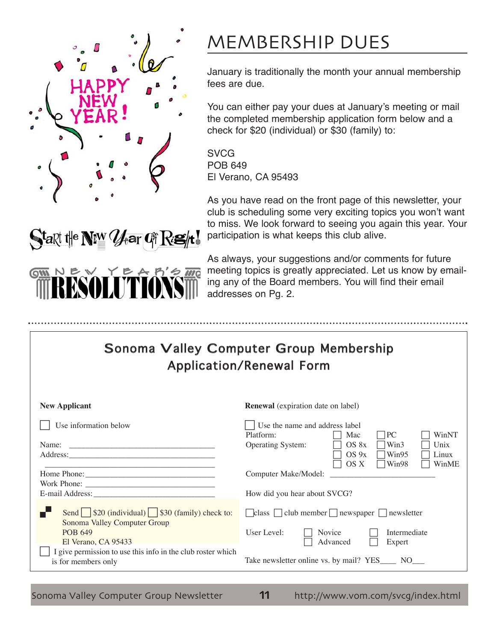

# MEMBERSHIP DUES

January is traditionally the month your annual membership fees are due.

You can either pay your dues at January's meeting or mail the completed membership application form below and a check for \$20 (individual) or \$30 (family) to:

**SV<sub>CG</sub>** POB 649 El Verano, CA 95493

As you have read on the front page of this newsletter, your club is scheduling some very exciting topics you won't want to miss. We look forward to seeing you again this year. Your participation is what keeps this club alive.



As always, your suggestions and/or comments for future meeting topics is greatly appreciated. Let us know by emailing any of the Board members. You will find their email addresses on Pg. 2.

### Sonoma Valley Computer Group Membership Application/Renewal Form

| <b>New Applicant</b>                                                                                 | <b>Renewal</b> (expiration date on label)                          |
|------------------------------------------------------------------------------------------------------|--------------------------------------------------------------------|
| Use information below                                                                                | Use the name and address label                                     |
|                                                                                                      | WinNT<br>Platform:<br> PC <br>Mac                                  |
| Name:                                                                                                | Win3<br>OS 8x<br>Unix<br>Operating System:                         |
|                                                                                                      | Win95<br>OS 9x<br>Linux                                            |
|                                                                                                      | Win98<br>WinME<br>OS X                                             |
|                                                                                                      | Computer Make/Model:                                               |
|                                                                                                      |                                                                    |
| E-mail Address:                                                                                      | How did you hear about SVCG?                                       |
| Send $\sqrt{\$20 \text{ (individual)}\ \}\$ \\$30 (family) check to:<br>Sonoma Valley Computer Group | $\Box$ class $\Box$ club member $\Box$ newspaper $\Box$ newsletter |
| POB 649<br>El Verano, CA 95433                                                                       | User Level:<br>Intermediate<br>Novice<br>Advanced<br>Expert        |
| I give permission to use this info in the club roster which<br>is for members only                   | Take newsletter online vs. by mail? YES_____ NO___                 |

Sonoma Valley Computer Group Newsletter 11 http://www.vom.com/svcg/index.html